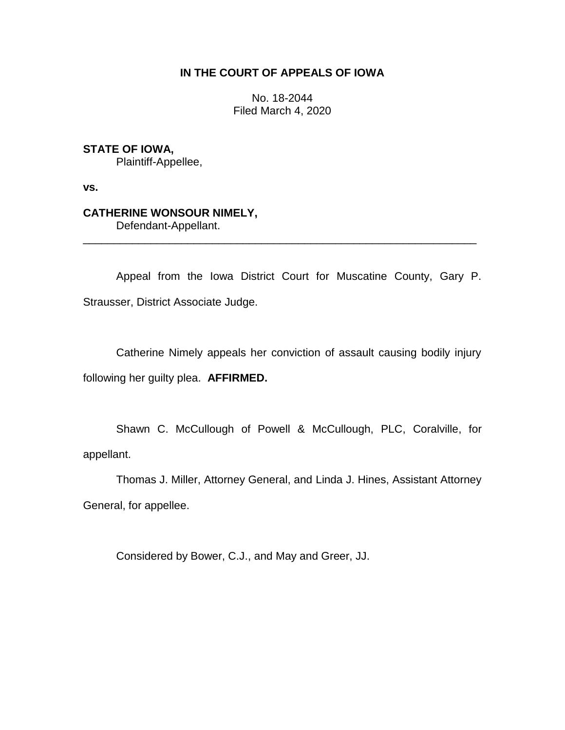## **IN THE COURT OF APPEALS OF IOWA**

No. 18-2044 Filed March 4, 2020

# **STATE OF IOWA,**

Plaintiff-Appellee,

**vs.**

# **CATHERINE WONSOUR NIMELY,**

Defendant-Appellant.

Appeal from the Iowa District Court for Muscatine County, Gary P. Strausser, District Associate Judge.

\_\_\_\_\_\_\_\_\_\_\_\_\_\_\_\_\_\_\_\_\_\_\_\_\_\_\_\_\_\_\_\_\_\_\_\_\_\_\_\_\_\_\_\_\_\_\_\_\_\_\_\_\_\_\_\_\_\_\_\_\_\_\_\_

Catherine Nimely appeals her conviction of assault causing bodily injury following her guilty plea. **AFFIRMED.**

Shawn C. McCullough of Powell & McCullough, PLC, Coralville, for appellant.

Thomas J. Miller, Attorney General, and Linda J. Hines, Assistant Attorney General, for appellee.

Considered by Bower, C.J., and May and Greer, JJ.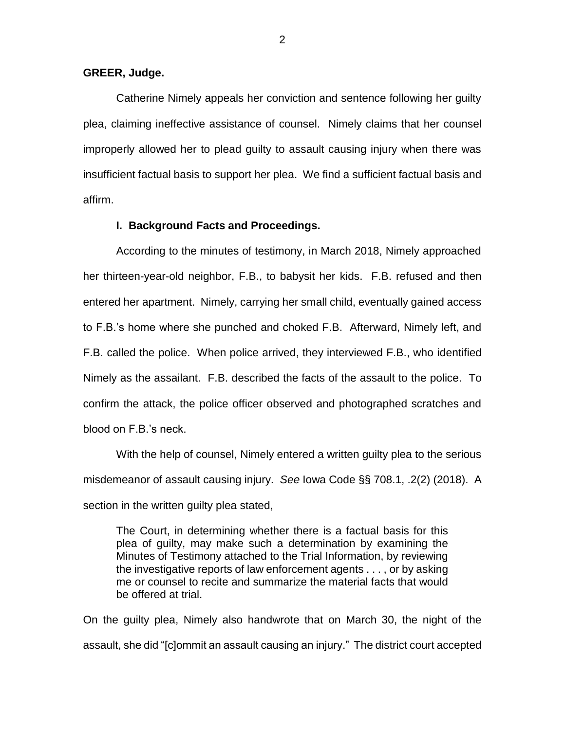### **GREER, Judge.**

Catherine Nimely appeals her conviction and sentence following her guilty plea, claiming ineffective assistance of counsel. Nimely claims that her counsel improperly allowed her to plead guilty to assault causing injury when there was insufficient factual basis to support her plea. We find a sufficient factual basis and affirm.

#### **I. Background Facts and Proceedings.**

According to the minutes of testimony, in March 2018, Nimely approached her thirteen-year-old neighbor, F.B., to babysit her kids. F.B. refused and then entered her apartment. Nimely, carrying her small child, eventually gained access to F.B.'s home where she punched and choked F.B. Afterward, Nimely left, and F.B. called the police. When police arrived, they interviewed F.B., who identified Nimely as the assailant. F.B. described the facts of the assault to the police. To confirm the attack, the police officer observed and photographed scratches and blood on F.B.'s neck.

With the help of counsel, Nimely entered a written guilty plea to the serious misdemeanor of assault causing injury. *See* Iowa Code §§ 708.1, .2(2) (2018). A section in the written guilty plea stated,

The Court, in determining whether there is a factual basis for this plea of guilty, may make such a determination by examining the Minutes of Testimony attached to the Trial Information, by reviewing the investigative reports of law enforcement agents . . . , or by asking me or counsel to recite and summarize the material facts that would be offered at trial.

On the guilty plea, Nimely also handwrote that on March 30, the night of the assault, she did "[c]ommit an assault causing an injury." The district court accepted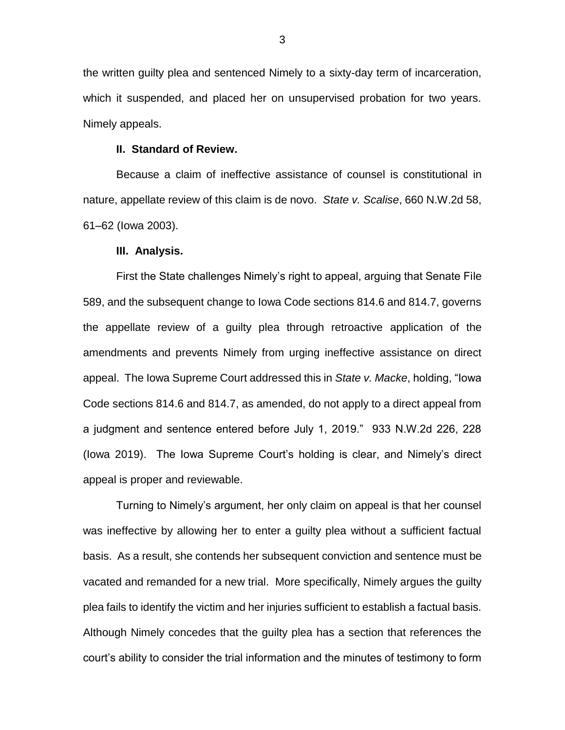the written guilty plea and sentenced Nimely to a sixty-day term of incarceration, which it suspended, and placed her on unsupervised probation for two years. Nimely appeals.

#### **II. Standard of Review.**

Because a claim of ineffective assistance of counsel is constitutional in nature, appellate review of this claim is de novo. *State v. Scalise*, 660 N.W.2d 58, 61–62 (Iowa 2003).

#### **III. Analysis.**

First the State challenges Nimely's right to appeal, arguing that Senate File 589, and the subsequent change to Iowa Code sections 814.6 and 814.7, governs the appellate review of a guilty plea through retroactive application of the amendments and prevents Nimely from urging ineffective assistance on direct appeal. The Iowa Supreme Court addressed this in *State v. Macke*, holding, "Iowa Code sections 814.6 and 814.7, as amended, do not apply to a direct appeal from a judgment and sentence entered before July 1, 2019." 933 N.W.2d 226, 228 (Iowa 2019). The Iowa Supreme Court's holding is clear, and Nimely's direct appeal is proper and reviewable.

Turning to Nimely's argument, her only claim on appeal is that her counsel was ineffective by allowing her to enter a guilty plea without a sufficient factual basis. As a result, she contends her subsequent conviction and sentence must be vacated and remanded for a new trial. More specifically, Nimely argues the guilty plea fails to identify the victim and her injuries sufficient to establish a factual basis. Although Nimely concedes that the guilty plea has a section that references the court's ability to consider the trial information and the minutes of testimony to form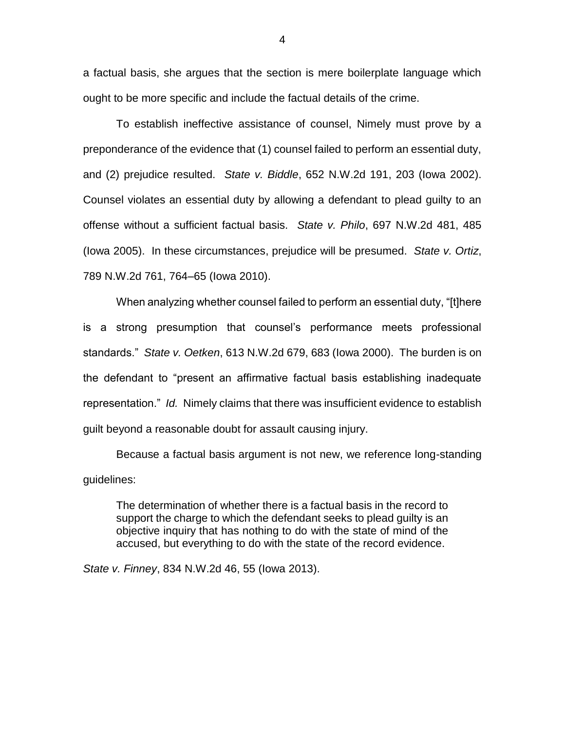a factual basis, she argues that the section is mere boilerplate language which ought to be more specific and include the factual details of the crime.

To establish ineffective assistance of counsel, Nimely must prove by a preponderance of the evidence that (1) counsel failed to perform an essential duty, and (2) prejudice resulted. *State v. Biddle*, 652 N.W.2d 191, 203 (Iowa 2002). Counsel violates an essential duty by allowing a defendant to plead guilty to an offense without a sufficient factual basis. *State v. Philo*, 697 N.W.2d 481, 485 (Iowa 2005). In these circumstances, prejudice will be presumed. *State v. Ortiz*, 789 N.W.2d 761, 764–65 (Iowa 2010).

When analyzing whether counsel failed to perform an essential duty, "[t]here is a strong presumption that counsel's performance meets professional standards." *State v. Oetken*, 613 N.W.2d 679, 683 (Iowa 2000). The burden is on the defendant to "present an affirmative factual basis establishing inadequate representation." *Id.* Nimely claims that there was insufficient evidence to establish guilt beyond a reasonable doubt for assault causing injury.

Because a factual basis argument is not new, we reference long-standing guidelines:

The determination of whether there is a factual basis in the record to support the charge to which the defendant seeks to plead quilty is an objective inquiry that has nothing to do with the state of mind of the accused, but everything to do with the state of the record evidence.

*State v. Finney*, 834 N.W.2d 46, 55 (Iowa 2013).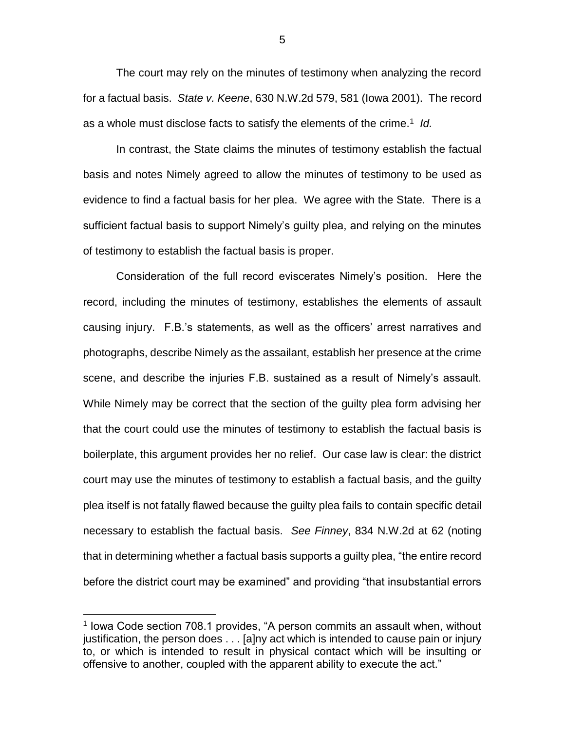The court may rely on the minutes of testimony when analyzing the record for a factual basis. *State v. Keene*, 630 N.W.2d 579, 581 (Iowa 2001). The record as a whole must disclose facts to satisfy the elements of the crime.<sup>1</sup> Id.

In contrast, the State claims the minutes of testimony establish the factual basis and notes Nimely agreed to allow the minutes of testimony to be used as evidence to find a factual basis for her plea. We agree with the State. There is a sufficient factual basis to support Nimely's guilty plea, and relying on the minutes of testimony to establish the factual basis is proper.

Consideration of the full record eviscerates Nimely's position. Here the record, including the minutes of testimony, establishes the elements of assault causing injury. F.B.'s statements, as well as the officers' arrest narratives and photographs, describe Nimely as the assailant, establish her presence at the crime scene, and describe the injuries F.B. sustained as a result of Nimely's assault. While Nimely may be correct that the section of the guilty plea form advising her that the court could use the minutes of testimony to establish the factual basis is boilerplate, this argument provides her no relief. Our case law is clear: the district court may use the minutes of testimony to establish a factual basis, and the guilty plea itself is not fatally flawed because the guilty plea fails to contain specific detail necessary to establish the factual basis. *See Finney*, 834 N.W.2d at 62 (noting that in determining whether a factual basis supports a guilty plea, "the entire record before the district court may be examined" and providing "that insubstantial errors

 $\overline{a}$ 

<sup>&</sup>lt;sup>1</sup> Iowa Code section 708.1 provides, "A person commits an assault when, without justification, the person does . . . [a]ny act which is intended to cause pain or injury to, or which is intended to result in physical contact which will be insulting or offensive to another, coupled with the apparent ability to execute the act."